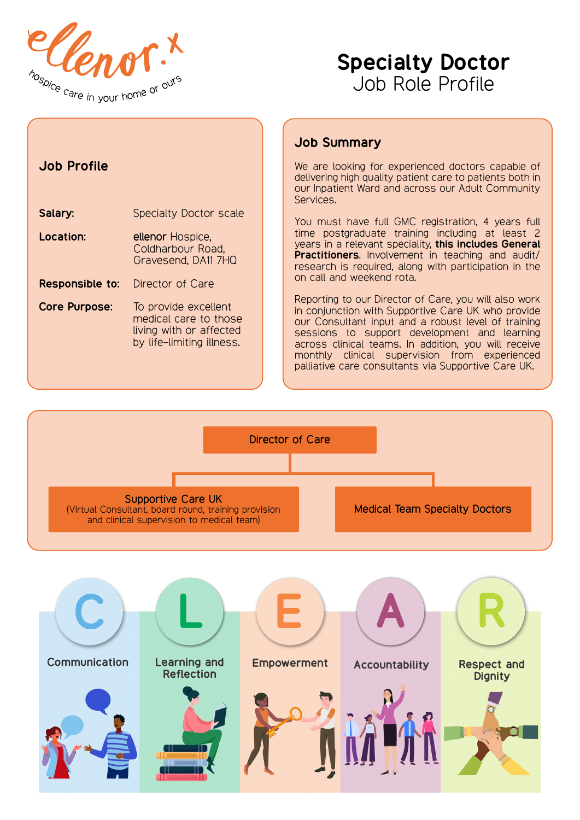



| <b>Job Profile</b>     |                                                                                                       |  |
|------------------------|-------------------------------------------------------------------------------------------------------|--|
| Salary:                | <b>Specialty Doctor scale</b>                                                                         |  |
| Location:              | ellenor Hospice,<br>Coldharbour Road,<br>Gravesend, DA11 7HQ                                          |  |
| <b>Responsible to:</b> | Director of Care                                                                                      |  |
| <b>Core Purpose:</b>   | To provide excellent<br>medical care to those<br>living with or affected<br>by life-limiting illness. |  |

# Job Summary

We are looking for experienced doctors capable of delivering high quality patient care to patients both in our Inpatient Ward and across our Adult Community Services.

You must have full GMC registration, 4 years full time postgraduate training including at least 2 years in a relevant speciality, this includes General Practitioners. Involvement in teaching and audit/ research is required, along with participation in the on call and weekend rota.

Reporting to our Director of Care, you will also work in conjunction with Supportive Care UK who provide our Consultant input and a robust level of training sessions to support development and learning across clinical teams. In addition, you will receive monthly clinical supervision from experienced palliative care consultants via Supportive Care UK.